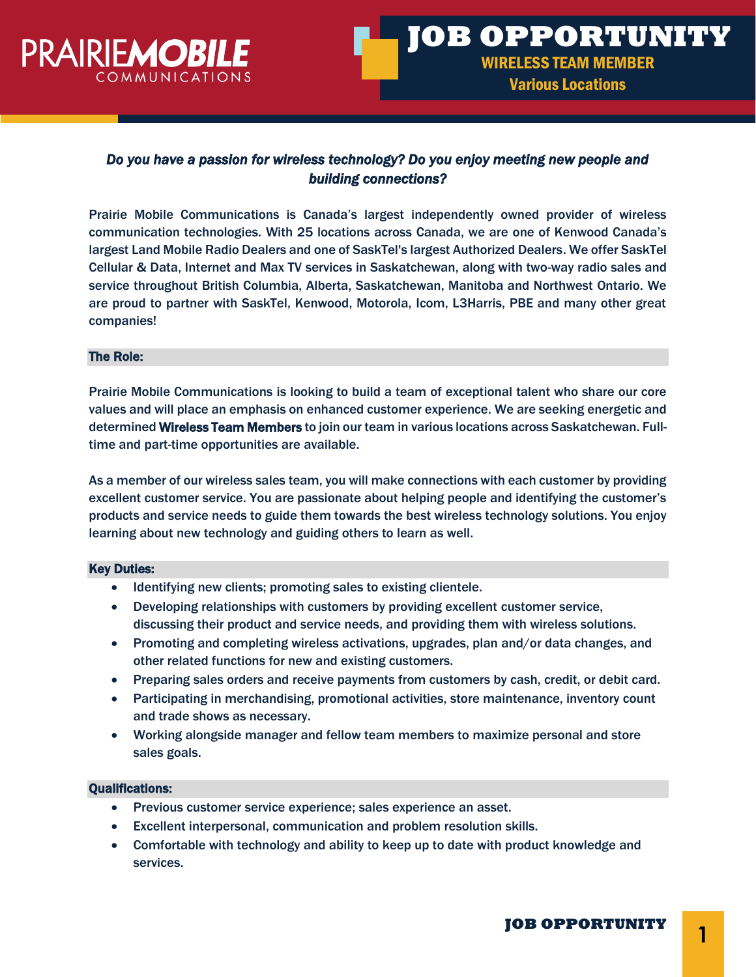

# *Do you have a passion for wireless technology? Do you enjoy meeting new people and building connections?*

Prairie Mobile Communications is Canada's largest independently owned provider of wireless communication technologies. With 25 locations across Canada, we are one of Kenwood Canada's largest Land Mobile Radio Dealers and one of SaskTel's largest Authorized Dealers. We offer SaskTel Cellular & Data, Internet and Max TV services in Saskatchewan, along with two-way radio sales and service throughout British Columbia, Alberta, Saskatchewan, Manitoba and Northwest Ontario. We are proud to partner with SaskTel, Kenwood, Motorola, Icom, L3Harris, PBE and many other great companies!

### The Role:

Prairie Mobile Communications is looking to build a team of exceptional talent who share our core values and will place an emphasis on enhanced customer experience. We are seeking energetic and determined Wireless Team Members to join our team in various locations across Saskatchewan. Fulltime and part-time opportunities are available.

As a member of our wireless sales team, you will make connections with each customer by providing excellent customer service. You are passionate about helping people and identifying the customer's products and service needs to guide them towards the best wireless technology solutions. You enjoy learning about new technology and guiding others to learn as well.

#### Key Duties:

- Identifying new clients; promoting sales to existing clientele.
- Developing relationships with customers by providing excellent customer service, discussing their product and service needs, and providing them with wireless solutions.
- Promoting and completing wireless activations, upgrades, plan and/or data changes, and other related functions for new and existing customers.
- Preparing sales orders and receive payments from customers by cash, credit, or debit card.
- Participating in merchandising, promotional activities, store maintenance, inventory count and trade shows as necessary.
- Working alongside manager and fellow team members to maximize personal and store sales goals.

# Qualifications:

- Previous customer service experience; sales experience an asset.
- Excellent interpersonal, communication and problem resolution skills.
- Comfortable with technology and ability to keep up to date with product knowledge and services.